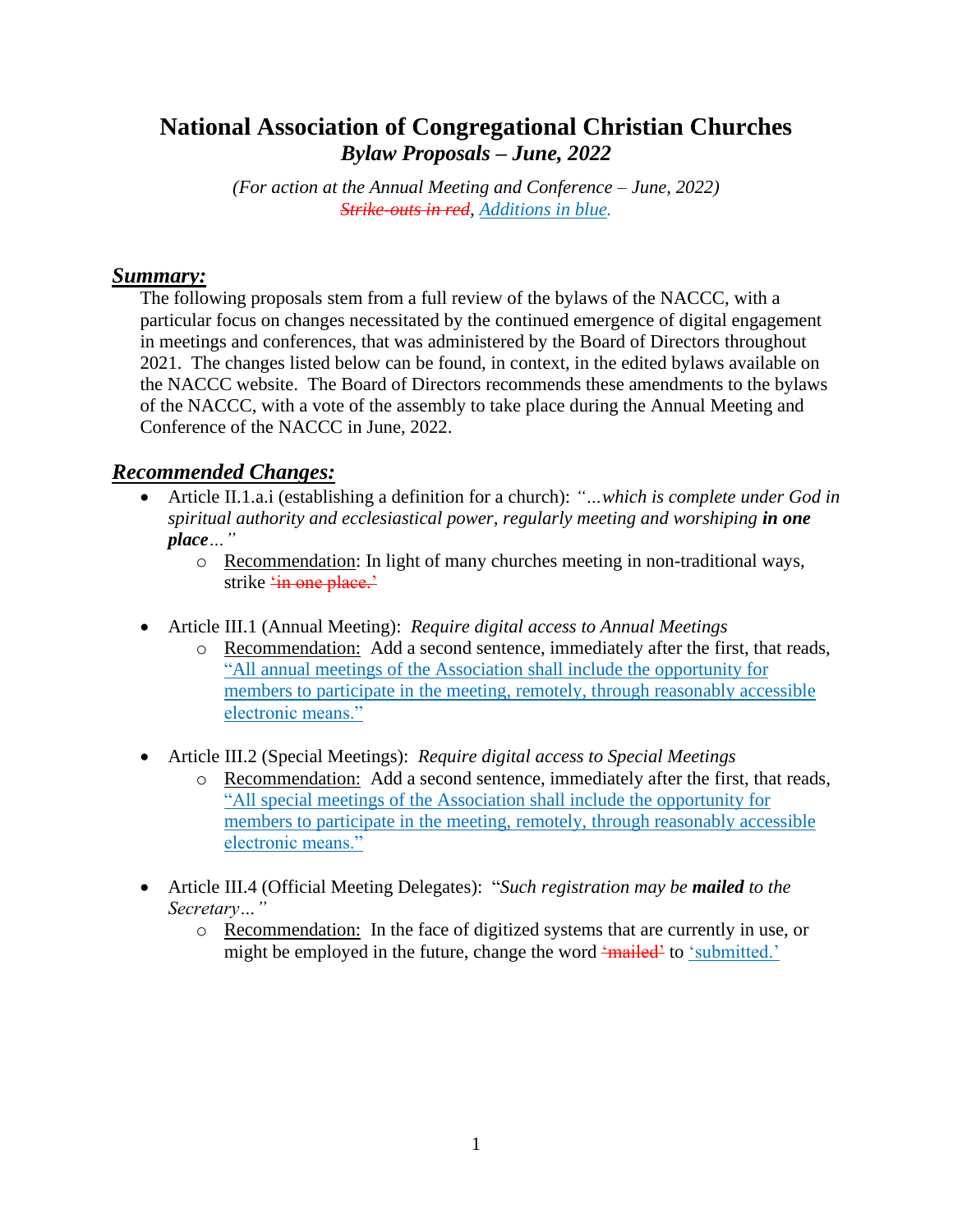## **National Association of Congregational Christian Churches** *Bylaw Proposals – June, 2022*

*(For action at the Annual Meeting and Conference – June, 2022) Strike-outs in red, Additions in blue.*

## *Summary:*

The following proposals stem from a full review of the bylaws of the NACCC, with a particular focus on changes necessitated by the continued emergence of digital engagement in meetings and conferences, that was administered by the Board of Directors throughout 2021. The changes listed below can be found, in context, in the edited bylaws available on the NACCC website. The Board of Directors recommends these amendments to the bylaws of the NACCC, with a vote of the assembly to take place during the Annual Meeting and Conference of the NACCC in June, 2022.

## *Recommended Changes:*

- Article II.1.a.i (establishing a definition for a church): *"…which is complete under God in spiritual authority and ecclesiastical power, regularly meeting and worshiping in one place…"* 
	- o Recommendation: In light of many churches meeting in non-traditional ways, strike 'in one place.'
- Article III.1 (Annual Meeting): *Require digital access to Annual Meetings*
	- o Recommendation: Add a second sentence, immediately after the first, that reads, "All annual meetings of the Association shall include the opportunity for members to participate in the meeting, remotely, through reasonably accessible electronic means."
- Article III.2 (Special Meetings): *Require digital access to Special Meetings*
	- o Recommendation: Add a second sentence, immediately after the first, that reads, "All special meetings of the Association shall include the opportunity for members to participate in the meeting, remotely, through reasonably accessible electronic means."
- Article III.4 (Official Meeting Delegates): "*Such registration may be mailed to the Secretary…"*
	- o Recommendation: In the face of digitized systems that are currently in use, or might be employed in the future, change the word  $\frac{4 \text{mailed}^2}{2}$  to 'submitted.'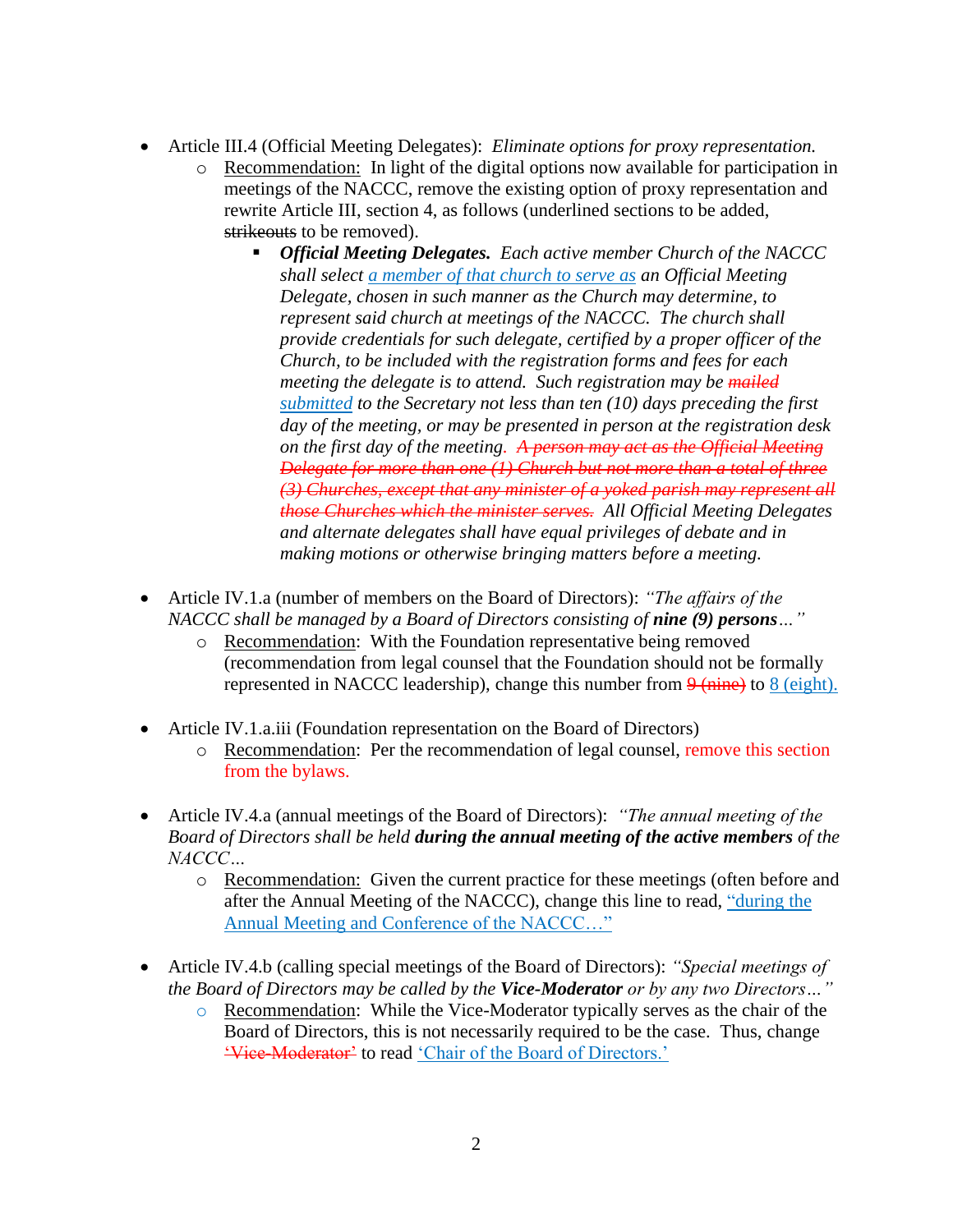- Article III.4 (Official Meeting Delegates): *Eliminate options for proxy representation.*
	- o Recommendation: In light of the digital options now available for participation in meetings of the NACCC, remove the existing option of proxy representation and rewrite Article III, section 4, as follows (underlined sections to be added, strikeouts to be removed).
		- *Official Meeting Delegates. Each active member Church of the NACCC shall select a member of that church to serve as an Official Meeting Delegate, chosen in such manner as the Church may determine, to represent said church at meetings of the NACCC. The church shall provide credentials for such delegate, certified by a proper officer of the Church, to be included with the registration forms and fees for each meeting the delegate is to attend. Such registration may be mailed submitted to the Secretary not less than ten (10) days preceding the first day of the meeting, or may be presented in person at the registration desk on the first day of the meeting. A person may act as the Official Meeting Delegate for more than one (1) Church but not more than a total of three (3) Churches, except that any minister of a yoked parish may represent all those Churches which the minister serves. All Official Meeting Delegates and alternate delegates shall have equal privileges of debate and in making motions or otherwise bringing matters before a meeting.*
- Article IV.1.a (number of members on the Board of Directors): *"The affairs of the NACCC shall be managed by a Board of Directors consisting of <i>nine* (9) persons ..."
	- o Recommendation: With the Foundation representative being removed (recommendation from legal counsel that the Foundation should not be formally represented in NACCC leadership), change this number from  $\frac{9 \text{ (nine)}}{9 \text{ (eighth)}}$ .
- Article IV.1.a.iii (Foundation representation on the Board of Directors)
	- o Recommendation: Per the recommendation of legal counsel, remove this section from the bylaws.
- Article IV.4.a (annual meetings of the Board of Directors): *"The annual meeting of the Board of Directors shall be held during the annual meeting of the active members of the NACCC…*
	- o Recommendation: Given the current practice for these meetings (often before and after the Annual Meeting of the NACCC), change this line to read, "during the Annual Meeting and Conference of the NACCC…"
- Article IV.4.b (calling special meetings of the Board of Directors): *"Special meetings of the Board of Directors may be called by the Vice-Moderator or by any two Directors…"*
	- o Recommendation: While the Vice-Moderator typically serves as the chair of the Board of Directors, this is not necessarily required to be the case. Thus, change 'Vice-Moderator' to read 'Chair of the Board of Directors.'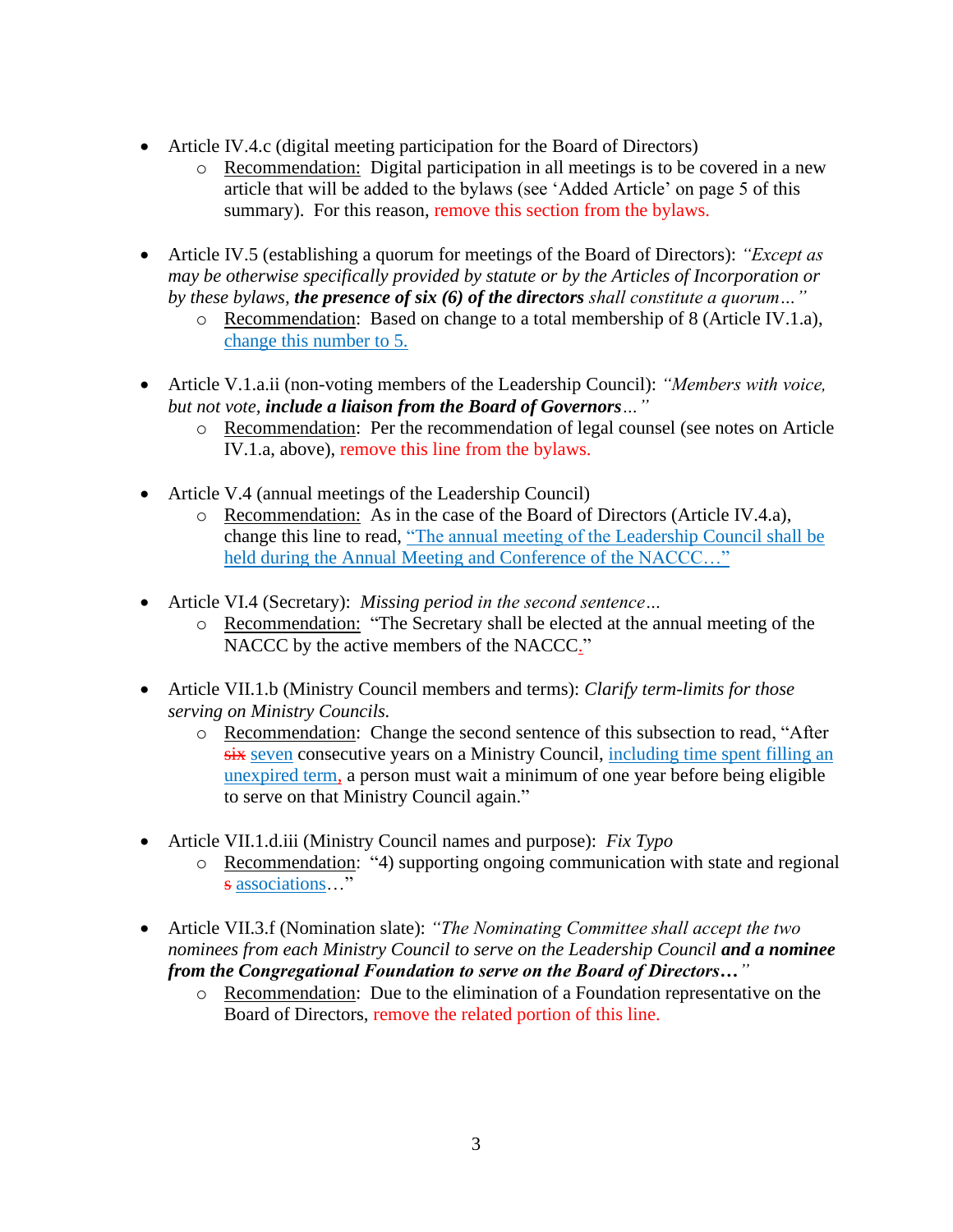- Article IV.4.c (digital meeting participation for the Board of Directors)
	- o Recommendation: Digital participation in all meetings is to be covered in a new article that will be added to the bylaws (see 'Added Article' on page 5 of this summary). For this reason, remove this section from the bylaws.
- Article IV.5 (establishing a quorum for meetings of the Board of Directors): *"Except as may be otherwise specifically provided by statute or by the Articles of Incorporation or by these bylaws, the presence of six (6) of the directors shall constitute a quorum…"*
	- o Recommendation: Based on change to a total membership of 8 (Article IV.1.a), change this number to 5.
- Article V.1.a.ii (non-voting members of the Leadership Council): *"Members with voice, but not vote, include a liaison from the Board of Governors…"*
	- o Recommendation: Per the recommendation of legal counsel (see notes on Article IV.1.a, above), remove this line from the bylaws.
- Article V.4 (annual meetings of the Leadership Council)
	- o Recommendation: As in the case of the Board of Directors (Article IV.4.a), change this line to read, "The annual meeting of the Leadership Council shall be held during the Annual Meeting and Conference of the NACCC..."
- Article VI.4 (Secretary): *Missing period in the second sentence…*
	- o Recommendation: "The Secretary shall be elected at the annual meeting of the NACCC by the active members of the NACCC."
- Article VII.1.b (Ministry Council members and terms): *Clarify term-limits for those serving on Ministry Councils.*
	- o Recommendation: Change the second sentence of this subsection to read, "After six seven consecutive years on a Ministry Council, including time spent filling an unexpired term, a person must wait a minimum of one year before being eligible to serve on that Ministry Council again."
- Article VII.1.d.iii (Ministry Council names and purpose): *Fix Typo*
	- o Recommendation: "4) supporting ongoing communication with state and regional s associations…"
- Article VII.3.f (Nomination slate): *"The Nominating Committee shall accept the two nominees from each Ministry Council to serve on the Leadership Council and a nominee from the Congregational Foundation to serve on the Board of Directors…"*
	- o Recommendation: Due to the elimination of a Foundation representative on the Board of Directors, remove the related portion of this line.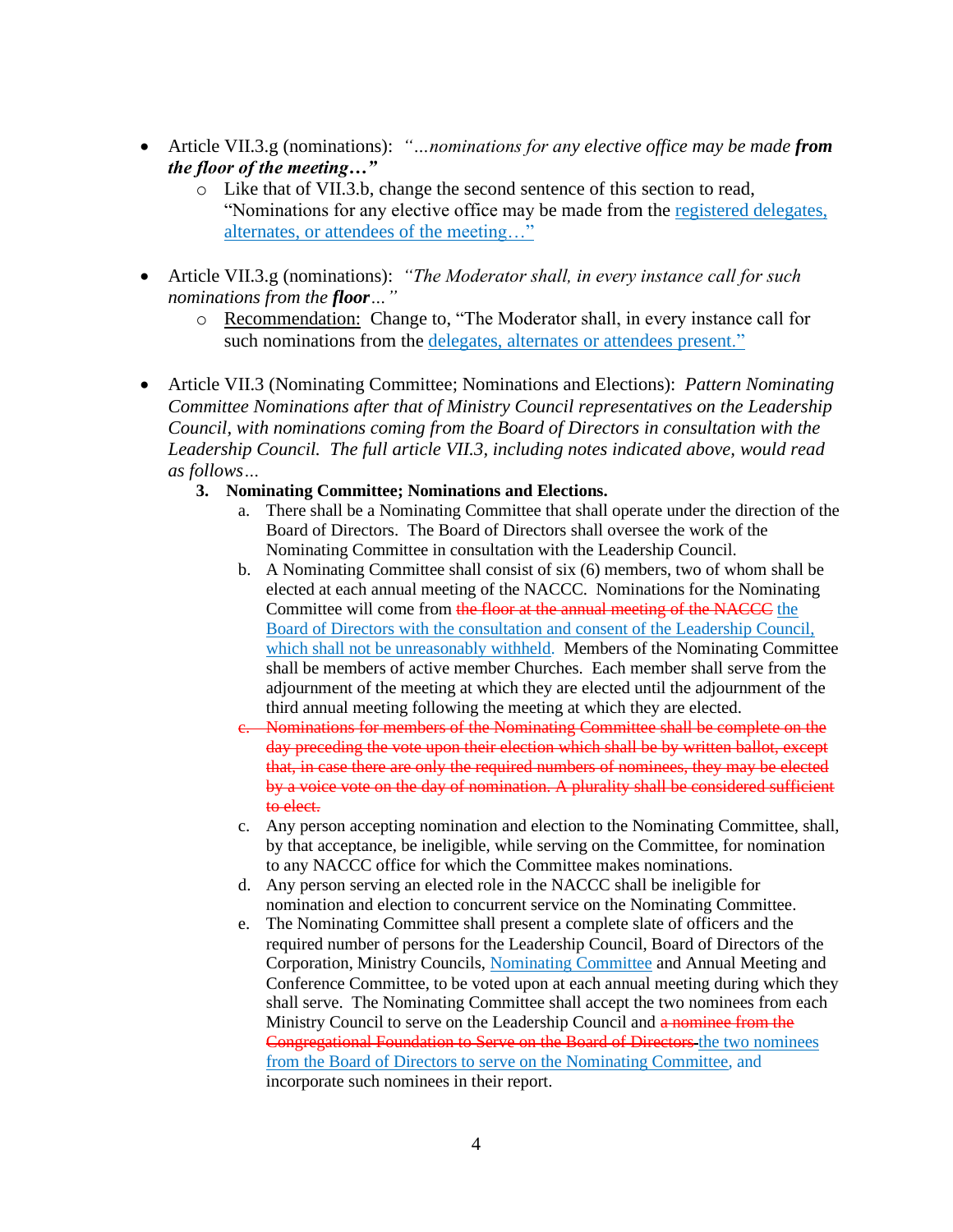- Article VII.3.g (nominations): *"…nominations for any elective office may be made from the floor of the meeting…"*
	- o Like that of VII.3.b, change the second sentence of this section to read, "Nominations for any elective office may be made from the registered delegates, alternates, or attendees of the meeting…"
- Article VII.3.g (nominations): *"The Moderator shall, in every instance call for such nominations from the floor…"*
	- o Recommendation: Change to, "The Moderator shall, in every instance call for such nominations from the delegates, alternates or attendees present."
- Article VII.3 (Nominating Committee; Nominations and Elections): *Pattern Nominating Committee Nominations after that of Ministry Council representatives on the Leadership Council, with nominations coming from the Board of Directors in consultation with the Leadership Council. The full article VII.3, including notes indicated above, would read as follows…*
	- **3. Nominating Committee; Nominations and Elections.**
		- a. There shall be a Nominating Committee that shall operate under the direction of the Board of Directors. The Board of Directors shall oversee the work of the Nominating Committee in consultation with the Leadership Council.
		- b. A Nominating Committee shall consist of six (6) members, two of whom shall be elected at each annual meeting of the NACCC. Nominations for the Nominating Committee will come from the floor at the annual meeting of the NACCC the Board of Directors with the consultation and consent of the Leadership Council, which shall not be unreasonably withheld. Members of the Nominating Committee shall be members of active member Churches. Each member shall serve from the adjournment of the meeting at which they are elected until the adjournment of the third annual meeting following the meeting at which they are elected.
		- c. Nominations for members of the Nominating Committee shall be complete on the day preceding the vote upon their election which shall be by written ballot, except that, in case there are only the required numbers of nominees, they may be elected by a voice vote on the day of nomination. A plurality shall be considered sufficient to elect.
		- c. Any person accepting nomination and election to the Nominating Committee, shall, by that acceptance, be ineligible, while serving on the Committee, for nomination to any NACCC office for which the Committee makes nominations.
		- d. Any person serving an elected role in the NACCC shall be ineligible for nomination and election to concurrent service on the Nominating Committee.
		- e. The Nominating Committee shall present a complete slate of officers and the required number of persons for the Leadership Council, Board of Directors of the Corporation, Ministry Councils, Nominating Committee and Annual Meeting and Conference Committee, to be voted upon at each annual meeting during which they shall serve. The Nominating Committee shall accept the two nominees from each Ministry Council to serve on the Leadership Council and a nomine from the Congregational Foundation to Serve on the Board of Directors the two nominees from the Board of Directors to serve on the Nominating Committee, and incorporate such nominees in their report.